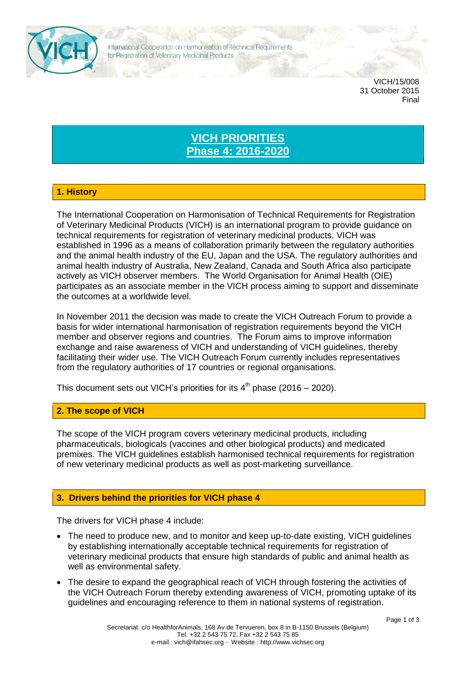

VICH/15/008 31 October 2015 Final

# **VICH PRIORITIES Phase 4: 2016-2020**

## **1. History**

The International Cooperation on Harmonisation of Technical Requirements for Registration of Veterinary Medicinal Products (VICH) is an international program to provide guidance on technical requirements for registration of veterinary medicinal products. VICH was established in 1996 as a means of collaboration primarily between the regulatory authorities and the animal health industry of the EU, Japan and the USA. The regulatory authorities and animal health industry of Australia, New Zealand, Canada and South Africa also participate actively as VICH observer members. The World Organisation for Animal Health (OIE) participates as an associate member in the VICH process aiming to support and disseminate the outcomes at a worldwide level.

In November 2011 the decision was made to create the VICH Outreach Forum to provide a basis for wider international harmonisation of registration requirements beyond the VICH member and observer regions and countries. The Forum aims to improve information exchange and raise awareness of VICH and understanding of VICH guidelines, thereby facilitating their wider use. The VICH Outreach Forum currently includes representatives from the regulatory authorities of 17 countries or regional organisations.

This document sets out VICH's priorities for its  $4^{\text{th}}$  phase (2016 – 2020).

#### **2. The scope of VICH**

The scope of the VICH program covers veterinary medicinal products, including pharmaceuticals, biologicals (vaccines and other biological products) and medicated premixes. The VICH guidelines establish harmonised technical requirements for registration of new veterinary medicinal products as well as post-marketing surveillance.

### **3. Drivers behind the priorities for VICH phase 4**

The drivers for VICH phase 4 include:

- The need to produce new, and to monitor and keep up-to-date existing, VICH guidelines by establishing internationally acceptable technical requirements for registration of veterinary medicinal products that ensure high standards of public and animal health as well as environmental safety.
- The desire to expand the geographical reach of VICH through fostering the activities of the VICH Outreach Forum thereby extending awareness of VICH, promoting uptake of its guidelines and encouraging reference to them in national systems of registration.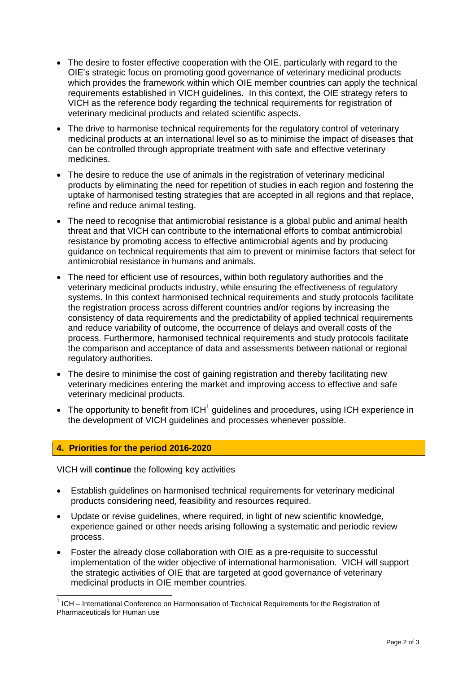- The desire to foster effective cooperation with the OIE, particularly with regard to the OIE's strategic focus on promoting good governance of veterinary medicinal products which provides the framework within which OIE member countries can apply the technical requirements established in VICH guidelines. In this context, the OIE strategy refers to VICH as the reference body regarding the technical requirements for registration of veterinary medicinal products and related scientific aspects.
- The drive to harmonise technical requirements for the regulatory control of veterinary medicinal products at an international level so as to minimise the impact of diseases that can be controlled through appropriate treatment with safe and effective veterinary medicines.
- The desire to reduce the use of animals in the registration of veterinary medicinal products by eliminating the need for repetition of studies in each region and fostering the uptake of harmonised testing strategies that are accepted in all regions and that replace, refine and reduce animal testing.
- The need to recognise that antimicrobial resistance is a global public and animal health threat and that VICH can contribute to the international efforts to combat antimicrobial resistance by promoting access to effective antimicrobial agents and by producing guidance on technical requirements that aim to prevent or minimise factors that select for antimicrobial resistance in humans and animals.
- The need for efficient use of resources, within both regulatory authorities and the veterinary medicinal products industry, while ensuring the effectiveness of regulatory systems. In this context harmonised technical requirements and study protocols facilitate the registration process across different countries and/or regions by increasing the consistency of data requirements and the predictability of applied technical requirements and reduce variability of outcome, the occurrence of delays and overall costs of the process. Furthermore, harmonised technical requirements and study protocols facilitate the comparison and acceptance of data and assessments between national or regional regulatory authorities.
- The desire to minimise the cost of gaining registration and thereby facilitating new veterinary medicines entering the market and improving access to effective and safe veterinary medicinal products.
- $\bullet$  The opportunity to benefit from ICH<sup>1</sup> guidelines and procedures, using ICH experience in the development of VICH guidelines and processes whenever possible.

#### **4. Priorities for the period 2016-2020**

VICH will **continue** the following key activities

- Establish guidelines on harmonised technical requirements for veterinary medicinal products considering need, feasibility and resources required.
- Update or revise guidelines, where required, in light of new scientific knowledge, experience gained or other needs arising following a systematic and periodic review process.
- Foster the already close collaboration with OIE as a pre-requisite to successful implementation of the wider objective of international harmonisation. VICH will support the strategic activities of OIE that are targeted at good governance of veterinary medicinal products in OIE member countries.

<sup>1&</sup>lt;br><sup>1</sup> ICH – International Conference on Harmonisation of Technical Requirements for the Registration of Pharmaceuticals for Human use